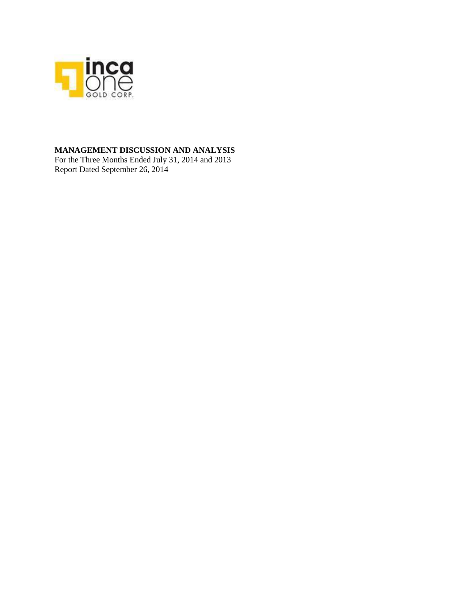

### **MANAGEMENT DISCUSSION AND ANALYSIS**

For the Three Months Ended July 31, 2014 and 2013 Report Dated September 26, 2014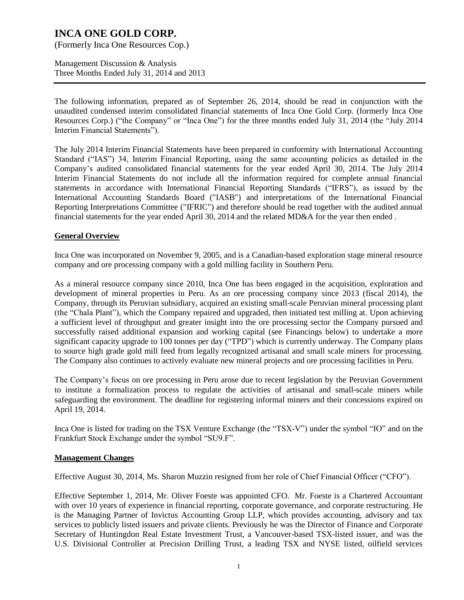(Formerly Inca One Resources Cop.)

Management Discussion & Analysis Three Months Ended July 31, 2014 and 2013

The following information, prepared as of September 26, 2014, should be read in conjunction with the unaudited condensed interim consolidated financial statements of Inca One Gold Corp. (formerly Inca One Resources Corp.) ("the Company" or "Inca One") for the three months ended July 31, 2014 (the "July 2014 Interim Financial Statements").

The July 2014 Interim Financial Statements have been prepared in conformity with International Accounting Standard ("IAS") 34, Interim Financial Reporting, using the same accounting policies as detailed in the Company's audited consolidated financial statements for the year ended April 30, 2014. The July 2014 Interim Financial Statements do not include all the information required for complete annual financial statements in accordance with International Financial Reporting Standards ("IFRS"), as issued by the International Accounting Standards Board ("IASB") and interpretations of the International Financial Reporting Interpretations Committee ("IFRIC") and therefore should be read together with the audited annual financial statements for the year ended April 30, 2014 and the related MD&A for the year then ended .

### **General Overview**

Inca One was incorporated on November 9, 2005, and is a Canadian-based exploration stage mineral resource company and ore processing company with a gold milling facility in Southern Peru.

As a mineral resource company since 2010, Inca One has been engaged in the acquisition, exploration and development of mineral properties in Peru. As an ore processing company since 2013 (fiscal 2014), the Company, through its Peruvian subsidiary, acquired an existing small-scale Peruvian mineral processing plant (the "Chala Plant"), which the Company repaired and upgraded, then initiated test milling at. Upon achieving a sufficient level of throughput and greater insight into the ore processing sector the Company pursued and successfully raised additional expansion and working capital (see Financings below) to undertake a more significant capacity upgrade to 100 tonnes per day ("TPD") which is currently underway. The Company plans to source high grade gold mill feed from legally recognized artisanal and small scale miners for processing. The Company also continues to actively evaluate new mineral projects and ore processing facilities in Peru.

The Company's focus on ore processing in Peru arose due to recent legislation by the Peruvian Government to institute a formalization process to regulate the activities of artisanal and small-scale miners while safeguarding the environment. The deadline for registering informal miners and their concessions expired on April 19, 2014.

Inca One is listed for trading on the TSX Venture Exchange (the "TSX-V") under the symbol "IO" and on the Frankfurt Stock Exchange under the symbol "SU9.F".

### **Management Changes**

Effective August 30, 2014, Ms. Sharon Muzzin resigned from her role of Chief Financial Officer ("CFO").

Effective September 1, 2014, Mr. Oliver Foeste was appointed CFO. Mr. Foeste is a Chartered Accountant with over 10 years of experience in financial reporting, corporate governance, and corporate restructuring. He is the Managing Partner of Invictus Accounting Group LLP, which provides accounting, advisory and tax services to publicly listed issuers and private clients. Previously he was the Director of Finance and Corporate Secretary of Huntingdon Real Estate Investment Trust, a Vancouver-based TSX-listed issuer, and was the U.S. Divisional Controller at Precision Drilling Trust, a leading TSX and NYSE listed, oilfield services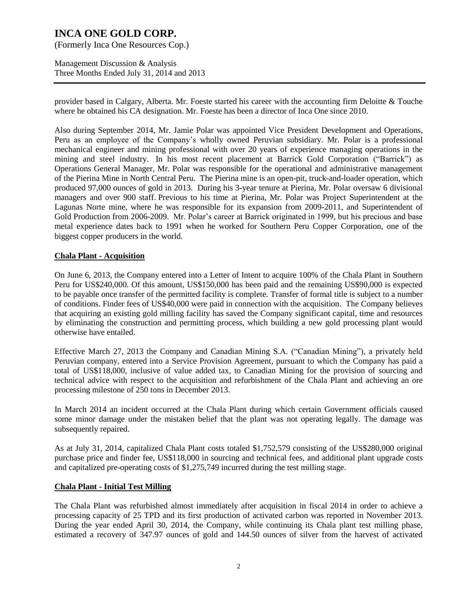(Formerly Inca One Resources Cop.)

Management Discussion & Analysis Three Months Ended July 31, 2014 and 2013

provider based in Calgary, Alberta. Mr. Foeste started his career with the accounting firm Deloitte & Touche where he obtained his CA designation. Mr. Foeste has been a director of Inca One since 2010.

Also during September 2014, Mr. Jamie Polar was appointed Vice President Development and Operations, Peru as an employee of the Company's wholly owned Peruvian subsidiary. Mr. Polar is a professional mechanical engineer and mining professional with over 20 years of experience managing operations in the mining and steel industry. In his most recent placement at Barrick Gold Corporation ("Barrick") as Operations General Manager, Mr. Polar was responsible for the operational and administrative management of the Pierina Mine in North Central Peru. The Pierina mine is an open-pit, truck-and-loader operation, which produced 97,000 ounces of gold in 2013. During his 3-year tenure at Pierina, Mr. Polar oversaw 6 divisional managers and over 900 staff. Previous to his time at Pierina, Mr. Polar was Project Superintendent at the Lagunas Norte mine, where he was responsible for its expansion from 2009-2011, and Superintendent of Gold Production from 2006-2009. Mr. Polar's career at Barrick originated in 1999, but his precious and base metal experience dates back to 1991 when he worked for Southern Peru Copper Corporation, one of the biggest copper producers in the world.

### **Chala Plant - Acquisition**

On June 6, 2013, the Company entered into a Letter of Intent to acquire 100% of the Chala Plant in Southern Peru for US\$240,000. Of this amount, US\$150,000 has been paid and the remaining US\$90,000 is expected to be payable once transfer of the permitted facility is complete. Transfer of formal title is subject to a number of conditions. Finder fees of US\$40,000 were paid in connection with the acquisition. The Company believes that acquiring an existing gold milling facility has saved the Company significant capital, time and resources by eliminating the construction and permitting process, which building a new gold processing plant would otherwise have entailed.

Effective March 27, 2013 the Company and Canadian Mining S.A. ("Canadian Mining"), a privately held Peruvian company, entered into a Service Provision Agreement, pursuant to which the Company has paid a total of US\$118,000, inclusive of value added tax, to Canadian Mining for the provision of sourcing and technical advice with respect to the acquisition and refurbishment of the Chala Plant and achieving an ore processing milestone of 250 tons in December 2013.

In March 2014 an incident occurred at the Chala Plant during which certain Government officials caused some minor damage under the mistaken belief that the plant was not operating legally. The damage was subsequently repaired.

As at July 31, 2014, capitalized Chala Plant costs totaled \$1,752,579 consisting of the US\$280,000 original purchase price and finder fee, US\$118,000 in sourcing and technical fees, and additional plant upgrade costs and capitalized pre-operating costs of \$1,275,749 incurred during the test milling stage.

### **Chala Plant - Initial Test Milling**

The Chala Plant was refurbished almost immediately after acquisition in fiscal 2014 in order to achieve a processing capacity of 25 TPD and its first production of activated carbon was reported in November 2013. During the year ended April 30, 2014, the Company, while continuing its Chala plant test milling phase, estimated a recovery of 347.97 ounces of gold and 144.50 ounces of silver from the harvest of activated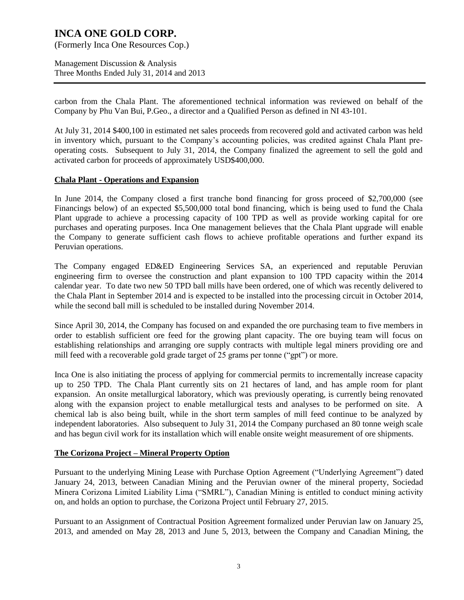(Formerly Inca One Resources Cop.)

Management Discussion & Analysis Three Months Ended July 31, 2014 and 2013

carbon from the Chala Plant. The aforementioned technical information was reviewed on behalf of the Company by Phu Van Bui, P.Geo., a director and a Qualified Person as defined in NI 43-101.

At July 31, 2014 \$400,100 in estimated net sales proceeds from recovered gold and activated carbon was held in inventory which, pursuant to the Company's accounting policies, was credited against Chala Plant preoperating costs. Subsequent to July 31, 2014, the Company finalized the agreement to sell the gold and activated carbon for proceeds of approximately USD\$400,000.

### **Chala Plant - Operations and Expansion**

In June 2014, the Company closed a first tranche bond financing for gross proceed of \$2,700,000 (see Financings below) of an expected \$5,500,000 total bond financing, which is being used to fund the Chala Plant upgrade to achieve a processing capacity of 100 TPD as well as provide working capital for ore purchases and operating purposes. Inca One management believes that the Chala Plant upgrade will enable the Company to generate sufficient cash flows to achieve profitable operations and further expand its Peruvian operations.

The Company engaged ED&ED Engineering Services SA, an experienced and reputable Peruvian engineering firm to oversee the construction and plant expansion to 100 TPD capacity within the 2014 calendar year. To date two new 50 TPD ball mills have been ordered, one of which was recently delivered to the Chala Plant in September 2014 and is expected to be installed into the processing circuit in October 2014, while the second ball mill is scheduled to be installed during November 2014.

Since April 30, 2014, the Company has focused on and expanded the ore purchasing team to five members in order to establish sufficient ore feed for the growing plant capacity. The ore buying team will focus on establishing relationships and arranging ore supply contracts with multiple legal miners providing ore and mill feed with a recoverable gold grade target of 25 grams per tonne ("gpt") or more.

Inca One is also initiating the process of applying for commercial permits to incrementally increase capacity up to 250 TPD. The Chala Plant currently sits on 21 hectares of land, and has ample room for plant expansion. An onsite metallurgical laboratory, which was previously operating, is currently being renovated along with the expansion project to enable metallurgical tests and analyses to be performed on site. A chemical lab is also being built, while in the short term samples of mill feed continue to be analyzed by independent laboratories. Also subsequent to July 31, 2014 the Company purchased an 80 tonne weigh scale and has begun civil work for its installation which will enable onsite weight measurement of ore shipments.

### **The Corizona Project – Mineral Property Option**

Pursuant to the underlying Mining Lease with Purchase Option Agreement ("Underlying Agreement") dated January 24, 2013, between Canadian Mining and the Peruvian owner of the mineral property, Sociedad Minera Corizona Limited Liability Lima ("SMRL"), Canadian Mining is entitled to conduct mining activity on, and holds an option to purchase, the Corizona Project until February 27, 2015.

Pursuant to an Assignment of Contractual Position Agreement formalized under Peruvian law on January 25, 2013, and amended on May 28, 2013 and June 5, 2013, between the Company and Canadian Mining, the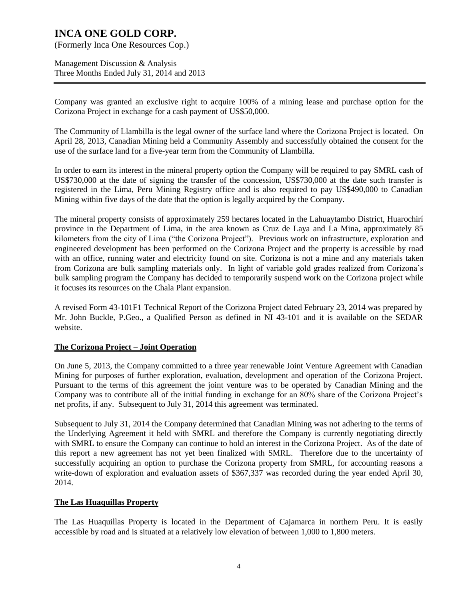(Formerly Inca One Resources Cop.)

Management Discussion & Analysis Three Months Ended July 31, 2014 and 2013

Company was granted an exclusive right to acquire 100% of a mining lease and purchase option for the Corizona Project in exchange for a cash payment of US\$50,000.

The Community of Llambilla is the legal owner of the surface land where the Corizona Project is located. On April 28, 2013, Canadian Mining held a Community Assembly and successfully obtained the consent for the use of the surface land for a five-year term from the Community of Llambilla.

In order to earn its interest in the mineral property option the Company will be required to pay SMRL cash of US\$730,000 at the date of signing the transfer of the concession, US\$730,000 at the date such transfer is registered in the Lima, Peru Mining Registry office and is also required to pay US\$490,000 to Canadian Mining within five days of the date that the option is legally acquired by the Company.

The mineral property consists of approximately 259 hectares located in the Lahuaytambo District, Huarochirí province in the Department of Lima, in the area known as Cruz de Laya and La Mina, approximately 85 kilometers from the city of Lima ("the Corizona Project"). Previous work on infrastructure, exploration and engineered development has been performed on the Corizona Project and the property is accessible by road with an office, running water and electricity found on site. Corizona is not a mine and any materials taken from Corizona are bulk sampling materials only. In light of variable gold grades realized from Corizona's bulk sampling program the Company has decided to temporarily suspend work on the Corizona project while it focuses its resources on the Chala Plant expansion.

A revised Form 43-101F1 Technical Report of the Corizona Project dated February 23, 2014 was prepared by Mr. John Buckle, P.Geo., a Qualified Person as defined in NI 43-101 and it is available on the SEDAR website.

### **The Corizona Project – Joint Operation**

On June 5, 2013, the Company committed to a three year renewable Joint Venture Agreement with Canadian Mining for purposes of further exploration, evaluation, development and operation of the Corizona Project. Pursuant to the terms of this agreement the joint venture was to be operated by Canadian Mining and the Company was to contribute all of the initial funding in exchange for an 80% share of the Corizona Project's net profits, if any. Subsequent to July 31, 2014 this agreement was terminated.

Subsequent to July 31, 2014 the Company determined that Canadian Mining was not adhering to the terms of the Underlying Agreement it held with SMRL and therefore the Company is currently negotiating directly with SMRL to ensure the Company can continue to hold an interest in the Corizona Project. As of the date of this report a new agreement has not yet been finalized with SMRL. Therefore due to the uncertainty of successfully acquiring an option to purchase the Corizona property from SMRL, for accounting reasons a write-down of exploration and evaluation assets of \$367,337 was recorded during the year ended April 30, 2014.

### **The Las Huaquillas Property**

The Las Huaquillas Property is located in the Department of Cajamarca in northern Peru. It is easily accessible by road and is situated at a relatively low elevation of between 1,000 to 1,800 meters.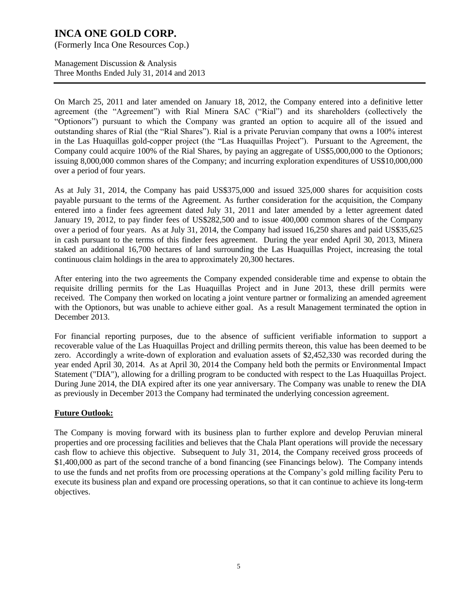(Formerly Inca One Resources Cop.)

Management Discussion & Analysis Three Months Ended July 31, 2014 and 2013

On March 25, 2011 and later amended on January 18, 2012, the Company entered into a definitive letter agreement (the "Agreement") with Rial Minera SAC ("Rial") and its shareholders (collectively the "Optionors") pursuant to which the Company was granted an option to acquire all of the issued and outstanding shares of Rial (the "Rial Shares"). Rial is a private Peruvian company that owns a 100% interest in the Las Huaquillas gold-copper project (the "Las Huaquillas Project"). Pursuant to the Agreement, the Company could acquire 100% of the Rial Shares, by paying an aggregate of US\$5,000,000 to the Optionors; issuing 8,000,000 common shares of the Company; and incurring exploration expenditures of US\$10,000,000 over a period of four years.

As at July 31, 2014, the Company has paid US\$375,000 and issued 325,000 shares for acquisition costs payable pursuant to the terms of the Agreement. As further consideration for the acquisition, the Company entered into a finder fees agreement dated July 31, 2011 and later amended by a letter agreement dated January 19, 2012, to pay finder fees of US\$282,500 and to issue 400,000 common shares of the Company over a period of four years. As at July 31, 2014, the Company had issued 16,250 shares and paid US\$35,625 in cash pursuant to the terms of this finder fees agreement. During the year ended April 30, 2013, Minera staked an additional 16,700 hectares of land surrounding the Las Huaquillas Project, increasing the total continuous claim holdings in the area to approximately 20,300 hectares.

After entering into the two agreements the Company expended considerable time and expense to obtain the requisite drilling permits for the Las Huaquillas Project and in June 2013, these drill permits were received. The Company then worked on locating a joint venture partner or formalizing an amended agreement with the Optionors, but was unable to achieve either goal. As a result Management terminated the option in December 2013.

For financial reporting purposes, due to the absence of sufficient verifiable information to support a recoverable value of the Las Huaquillas Project and drilling permits thereon, this value has been deemed to be zero. Accordingly a write-down of exploration and evaluation assets of \$2,452,330 was recorded during the year ended April 30, 2014. As at April 30, 2014 the Company held both the permits or Environmental Impact Statement ("DIA"), allowing for a drilling program to be conducted with respect to the Las Huaquillas Project. During June 2014, the DIA expired after its one year anniversary. The Company was unable to renew the DIA as previously in December 2013 the Company had terminated the underlying concession agreement.

### **Future Outlook:**

The Company is moving forward with its business plan to further explore and develop Peruvian mineral properties and ore processing facilities and believes that the Chala Plant operations will provide the necessary cash flow to achieve this objective. Subsequent to July 31, 2014, the Company received gross proceeds of \$1,400,000 as part of the second tranche of a bond financing (see Financings below). The Company intends to use the funds and net profits from ore processing operations at the Company's gold milling facility Peru to execute its business plan and expand ore processing operations, so that it can continue to achieve its long-term objectives.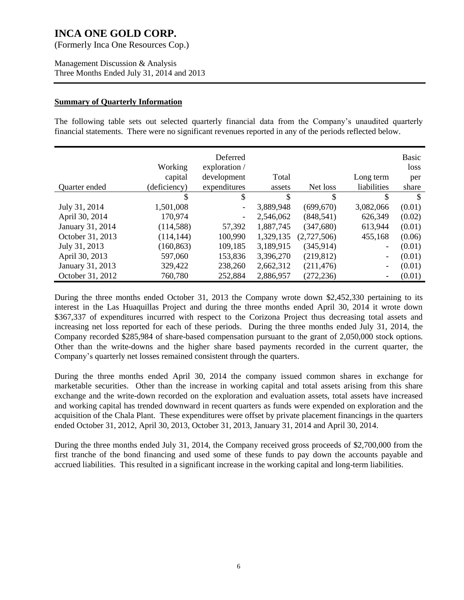(Formerly Inca One Resources Cop.)

Management Discussion & Analysis Three Months Ended July 31, 2014 and 2013

### **Summary of Quarterly Information**

The following table sets out selected quarterly financial data from the Company's unaudited quarterly financial statements. There were no significant revenues reported in any of the periods reflected below.

|                  | Working      | Deferred<br>exploration / |           |             |                          | Basic<br>loss |
|------------------|--------------|---------------------------|-----------|-------------|--------------------------|---------------|
|                  | capital      | development               | Total     |             | Long term                | per           |
| Quarter ended    | (deficiency) | expenditures              | assets    | Net loss    | liabilities              | share         |
|                  | \$           | \$                        | \$        | \$          | \$                       | <sup>\$</sup> |
| July 31, 2014    | 1,501,008    | $\blacksquare$            | 3,889,948 | (699, 670)  | 3,082,066                | (0.01)        |
| April 30, 2014   | 170,974      | $\overline{\phantom{a}}$  | 2,546,062 | (848, 541)  | 626,349                  | (0.02)        |
| January 31, 2014 | (114,588)    | 57,392                    | 1,887,745 | (347,680)   | 613,944                  | (0.01)        |
| October 31, 2013 | (114, 144)   | 100,990                   | 1,329,135 | (2,727,506) | 455,168                  | (0.06)        |
| July 31, 2013    | (160, 863)   | 109,185                   | 3,189,915 | (345, 914)  | $\overline{\phantom{a}}$ | (0.01)        |
| April 30, 2013   | 597,060      | 153,836                   | 3,396,270 | (219, 812)  | -                        | (0.01)        |
| January 31, 2013 | 329,422      | 238,260                   | 2,662,312 | (211, 476)  | -                        | (0.01)        |
| October 31, 2012 | 760,780      | 252,884                   | 2,886,957 | (272, 236)  |                          | (0.01)        |

During the three months ended October 31, 2013 the Company wrote down \$2,452,330 pertaining to its interest in the Las Huaquillas Project and during the three months ended April 30, 2014 it wrote down \$367,337 of expenditures incurred with respect to the Corizona Project thus decreasing total assets and increasing net loss reported for each of these periods. During the three months ended July 31, 2014, the Company recorded \$285,984 of share-based compensation pursuant to the grant of 2,050,000 stock options. Other than the write-downs and the higher share based payments recorded in the current quarter, the Company's quarterly net losses remained consistent through the quarters.

During the three months ended April 30, 2014 the company issued common shares in exchange for marketable securities. Other than the increase in working capital and total assets arising from this share exchange and the write-down recorded on the exploration and evaluation assets, total assets have increased and working capital has trended downward in recent quarters as funds were expended on exploration and the acquisition of the Chala Plant. These expenditures were offset by private placement financings in the quarters ended October 31, 2012, April 30, 2013, October 31, 2013, January 31, 2014 and April 30, 2014.

During the three months ended July 31, 2014, the Company received gross proceeds of \$2,700,000 from the first tranche of the bond financing and used some of these funds to pay down the accounts payable and accrued liabilities. This resulted in a significant increase in the working capital and long-term liabilities.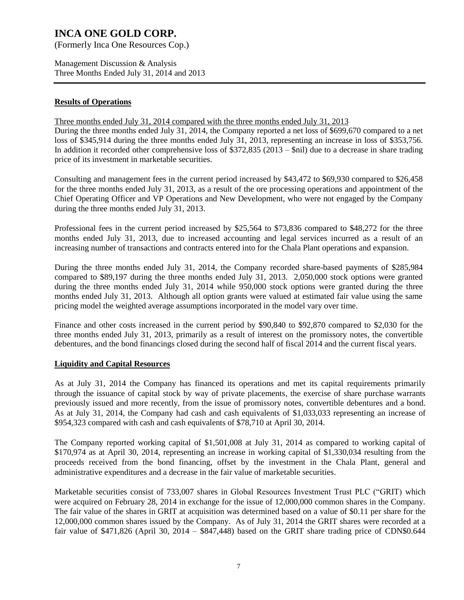(Formerly Inca One Resources Cop.)

Management Discussion & Analysis Three Months Ended July 31, 2014 and 2013

### **Results of Operations**

Three months ended July 31, 2014 compared with the three months ended July 31, 2013

During the three months ended July 31, 2014, the Company reported a net loss of \$699,670 compared to a net loss of \$345,914 during the three months ended July 31, 2013, representing an increase in loss of \$353,756. In addition it recorded other comprehensive loss of \$372,835 (2013 – \$nil) due to a decrease in share trading price of its investment in marketable securities.

Consulting and management fees in the current period increased by \$43,472 to \$69,930 compared to \$26,458 for the three months ended July 31, 2013, as a result of the ore processing operations and appointment of the Chief Operating Officer and VP Operations and New Development, who were not engaged by the Company during the three months ended July 31, 2013.

Professional fees in the current period increased by \$25,564 to \$73,836 compared to \$48,272 for the three months ended July 31, 2013, due to increased accounting and legal services incurred as a result of an increasing number of transactions and contracts entered into for the Chala Plant operations and expansion.

During the three months ended July 31, 2014, the Company recorded share-based payments of \$285,984 compared to \$89,197 during the three months ended July 31, 2013. 2,050,000 stock options were granted during the three months ended July 31, 2014 while 950,000 stock options were granted during the three months ended July 31, 2013. Although all option grants were valued at estimated fair value using the same pricing model the weighted average assumptions incorporated in the model vary over time.

Finance and other costs increased in the current period by \$90,840 to \$92,870 compared to \$2,030 for the three months ended July 31, 2013, primarily as a result of interest on the promissory notes, the convertible debentures, and the bond financings closed during the second half of fiscal 2014 and the current fiscal years.

### **Liquidity and Capital Resources**

As at July 31, 2014 the Company has financed its operations and met its capital requirements primarily through the issuance of capital stock by way of private placements, the exercise of share purchase warrants previously issued and more recently, from the issue of promissory notes, convertible debentures and a bond. As at July 31, 2014, the Company had cash and cash equivalents of \$1,033,033 representing an increase of \$954,323 compared with cash and cash equivalents of \$78,710 at April 30, 2014.

The Company reported working capital of \$1,501,008 at July 31, 2014 as compared to working capital of \$170,974 as at April 30, 2014, representing an increase in working capital of \$1,330,034 resulting from the proceeds received from the bond financing, offset by the investment in the Chala Plant, general and administrative expenditures and a decrease in the fair value of marketable securities.

Marketable securities consist of 733,007 shares in Global Resources Investment Trust PLC ("GRIT) which were acquired on February 28, 2014 in exchange for the issue of 12,000,000 common shares in the Company. The fair value of the shares in GRIT at acquisition was determined based on a value of \$0.11 per share for the 12,000,000 common shares issued by the Company. As of July 31, 2014 the GRIT shares were recorded at a fair value of  $$471,826$  (April 30, 2014 –  $$847,448$ ) based on the GRIT share trading price of CDN\$0.644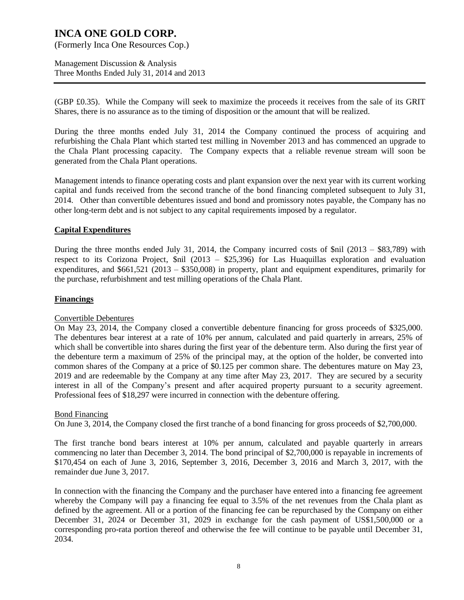(Formerly Inca One Resources Cop.)

Management Discussion & Analysis Three Months Ended July 31, 2014 and 2013

(GBP £0.35). While the Company will seek to maximize the proceeds it receives from the sale of its GRIT Shares, there is no assurance as to the timing of disposition or the amount that will be realized.

During the three months ended July 31, 2014 the Company continued the process of acquiring and refurbishing the Chala Plant which started test milling in November 2013 and has commenced an upgrade to the Chala Plant processing capacity. The Company expects that a reliable revenue stream will soon be generated from the Chala Plant operations.

Management intends to finance operating costs and plant expansion over the next year with its current working capital and funds received from the second tranche of the bond financing completed subsequent to July 31, 2014. Other than convertible debentures issued and bond and promissory notes payable, the Company has no other long-term debt and is not subject to any capital requirements imposed by a regulator.

### **Capital Expenditures**

During the three months ended July 31, 2014, the Company incurred costs of  $\sinh(2013 - \frac{1}{3}83,789)$  with respect to its Corizona Project, \$nil (2013 – \$25,396) for Las Huaquillas exploration and evaluation expenditures, and  $$661,521 (2013 - $350,008)$  in property, plant and equipment expenditures, primarily for the purchase, refurbishment and test milling operations of the Chala Plant.

#### **Financings**

### Convertible Debentures

On May 23, 2014, the Company closed a convertible debenture financing for gross proceeds of \$325,000. The debentures bear interest at a rate of 10% per annum, calculated and paid quarterly in arrears, 25% of which shall be convertible into shares during the first year of the debenture term. Also during the first year of the debenture term a maximum of 25% of the principal may, at the option of the holder, be converted into common shares of the Company at a price of \$0.125 per common share. The debentures mature on May 23, 2019 and are redeemable by the Company at any time after May 23, 2017. They are secured by a security interest in all of the Company's present and after acquired property pursuant to a security agreement. Professional fees of \$18,297 were incurred in connection with the debenture offering.

### Bond Financing

On June 3, 2014, the Company closed the first tranche of a bond financing for gross proceeds of \$2,700,000.

The first tranche bond bears interest at 10% per annum, calculated and payable quarterly in arrears commencing no later than December 3, 2014. The bond principal of \$2,700,000 is repayable in increments of \$170,454 on each of June 3, 2016, September 3, 2016, December 3, 2016 and March 3, 2017, with the remainder due June 3, 2017.

In connection with the financing the Company and the purchaser have entered into a financing fee agreement whereby the Company will pay a financing fee equal to 3.5% of the net revenues from the Chala plant as defined by the agreement. All or a portion of the financing fee can be repurchased by the Company on either December 31, 2024 or December 31, 2029 in exchange for the cash payment of US\$1,500,000 or a corresponding pro-rata portion thereof and otherwise the fee will continue to be payable until December 31, 2034.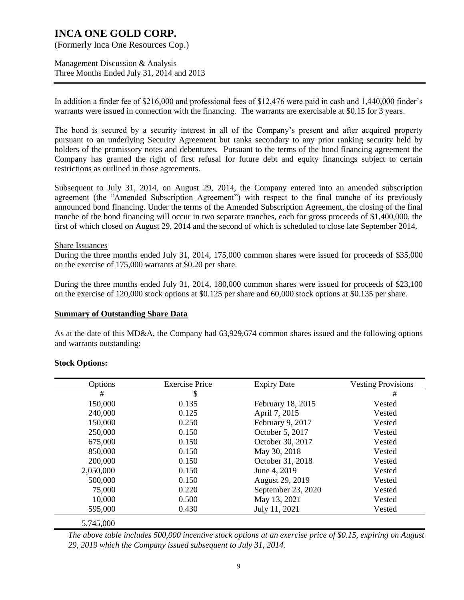(Formerly Inca One Resources Cop.)

Management Discussion & Analysis Three Months Ended July 31, 2014 and 2013

In addition a finder fee of \$216,000 and professional fees of \$12,476 were paid in cash and 1,440,000 finder's warrants were issued in connection with the financing. The warrants are exercisable at \$0.15 for 3 years.

The bond is secured by a security interest in all of the Company's present and after acquired property pursuant to an underlying Security Agreement but ranks secondary to any prior ranking security held by holders of the promissory notes and debentures. Pursuant to the terms of the bond financing agreement the Company has granted the right of first refusal for future debt and equity financings subject to certain restrictions as outlined in those agreements.

Subsequent to July 31, 2014, on August 29, 2014, the Company entered into an amended subscription agreement (the "Amended Subscription Agreement") with respect to the final tranche of its previously announced bond financing. Under the terms of the Amended Subscription Agreement, the closing of the final tranche of the bond financing will occur in two separate tranches, each for gross proceeds of \$1,400,000, the first of which closed on August 29, 2014 and the second of which is scheduled to close late September 2014.

### Share Issuances

During the three months ended July 31, 2014, 175,000 common shares were issued for proceeds of \$35,000 on the exercise of 175,000 warrants at \$0.20 per share.

During the three months ended July 31, 2014, 180,000 common shares were issued for proceeds of \$23,100 on the exercise of 120,000 stock options at \$0.125 per share and 60,000 stock options at \$0.135 per share.

#### **Summary of Outstanding Share Data**

As at the date of this MD&A, the Company had 63,929,674 common shares issued and the following options and warrants outstanding:

| Options      | <b>Exercise Price</b> | <b>Expiry Date</b> | <b>Vesting Provisions</b> |
|--------------|-----------------------|--------------------|---------------------------|
| #            | \$                    |                    | #                         |
| 150,000      | 0.135                 | February 18, 2015  | Vested                    |
| 240,000      | 0.125                 | April 7, 2015      | Vested                    |
| 150,000      | 0.250                 | February 9, 2017   | Vested                    |
| 250,000      | 0.150                 | October 5, 2017    | Vested                    |
| 675,000      | 0.150                 | October 30, 2017   | Vested                    |
| 850,000      | 0.150                 | May 30, 2018       | Vested                    |
| 200,000      | 0.150                 | October 31, 2018   | Vested                    |
| 2,050,000    | 0.150                 | June 4, 2019       | Vested                    |
| 500,000      | 0.150                 | August 29, 2019    | Vested                    |
| 75,000       | 0.220                 | September 23, 2020 | Vested                    |
| 10,000       | 0.500                 | May 13, 2021       | Vested                    |
| 595,000      | 0.430                 | July 11, 2021      | Vested                    |
| $F = 1F$ 000 |                       |                    |                           |

### **Stock Options:**

5,745,000

*The above table includes 500,000 incentive stock options at an exercise price of \$0.15, expiring on August 29, 2019 which the Company issued subsequent to July 31, 2014.*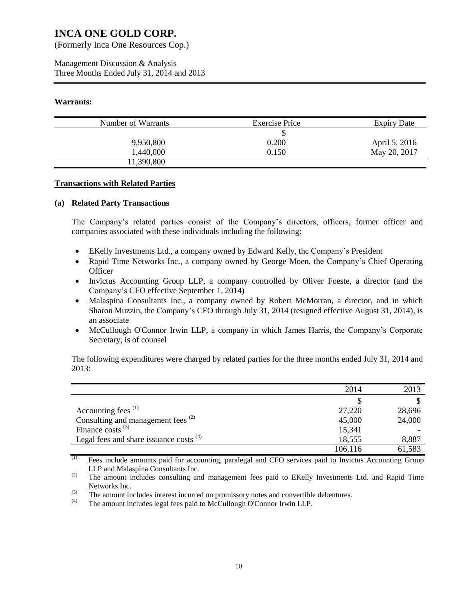(Formerly Inca One Resources Cop.)

Management Discussion & Analysis Three Months Ended July 31, 2014 and 2013

### **Warrants:**

| Number of Warrants | <b>Exercise Price</b> | <b>Expiry Date</b> |
|--------------------|-----------------------|--------------------|
|                    |                       |                    |
| 9,950,800          | 0.200                 | April 5, 2016      |
| 1,440,000          | 0.150                 | May 20, 2017       |
| 11,390,800         |                       |                    |

### **Transactions with Related Parties**

#### **(a) Related Party Transactions**

The Company's related parties consist of the Company's directors, officers, former officer and companies associated with these individuals including the following:

- EKelly Investments Ltd., a company owned by Edward Kelly, the Company's President
- Rapid Time Networks Inc., a company owned by George Moen, the Company's Chief Operating **Officer**
- Invictus Accounting Group LLP, a company controlled by Oliver Foeste, a director (and the Company's CFO effective September 1, 2014)
- Malaspina Consultants Inc., a company owned by Robert McMorran, a director, and in which Sharon Muzzin, the Company's CFO through July 31, 2014 (resigned effective August 31, 2014), is an associate
- McCullough O'Connor Irwin LLP, a company in which James Harris, the Company's Corporate Secretary, is of counsel

The following expenditures were charged by related parties for the three months ended July 31, 2014 and 2013:

|                                               | 2014    | 2013   |
|-----------------------------------------------|---------|--------|
|                                               |         |        |
| Accounting fees <sup>(1)</sup>                | 27,220  | 28,696 |
| Consulting and management fees <sup>(2)</sup> | 45,000  | 24,000 |
| Finance costs $^{(3)}$                        | 15,341  |        |
| Legal fees and share issuance costs $(4)$     | 18,555  | 8,887  |
|                                               | 106,116 | 61,583 |

(1) Fees include amounts paid for accounting, paralegal and CFO services paid to Invictus Accounting Group LLP and Malaspina Consultants Inc.

<sup>(2)</sup> The amount includes consulting and management fees paid to EKelly Investments Ltd. and Rapid Time Networks Inc.

(3) The amount includes interest incurred on promissory notes and convertible debentures.<br>
(4) The amount includes local foss paid to McCullough O'Connor Iruin I I P

The amount includes legal fees paid to McCullough O'Connor Irwin LLP.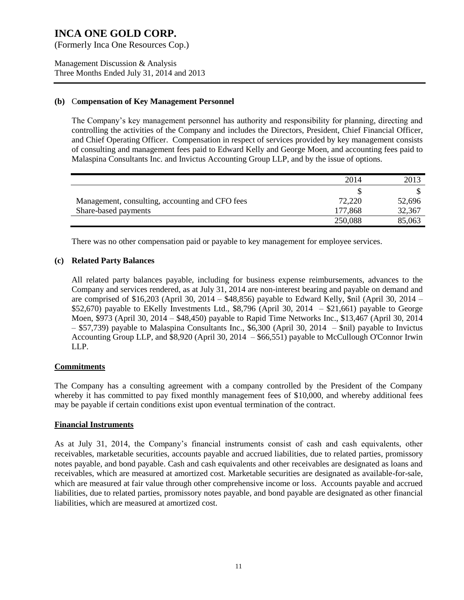(Formerly Inca One Resources Cop.)

Management Discussion & Analysis Three Months Ended July 31, 2014 and 2013

### **(b)** C**ompensation of Key Management Personnel**

The Company's key management personnel has authority and responsibility for planning, directing and controlling the activities of the Company and includes the Directors, President, Chief Financial Officer, and Chief Operating Officer. Compensation in respect of services provided by key management consists of consulting and management fees paid to Edward Kelly and George Moen, and accounting fees paid to Malaspina Consultants Inc. and Invictus Accounting Group LLP, and by the issue of options.

|                                                 | 2014    | 2013   |
|-------------------------------------------------|---------|--------|
|                                                 |         |        |
| Management, consulting, accounting and CFO fees | 72,220  | 52,696 |
| Share-based payments                            | 177,868 | 32,367 |
|                                                 | 250,088 | 85,063 |

There was no other compensation paid or payable to key management for employee services.

### **(c) Related Party Balances**

All related party balances payable, including for business expense reimbursements, advances to the Company and services rendered, as at July 31, 2014 are non-interest bearing and payable on demand and are comprised of \$16,203 (April 30, 2014 – \$48,856) payable to Edward Kelly, \$nil (April 30, 2014 – \$52,670) payable to EKelly Investments Ltd., \$8,796 (April 30, 2014 – \$21,661) payable to George Moen, \$973 (April 30, 2014 – \$48,450) payable to Rapid Time Networks Inc., \$13,467 (April 30, 2014 – \$57,739) payable to Malaspina Consultants Inc., \$6,300 (April 30, 2014 – \$nil) payable to Invictus Accounting Group LLP, and \$8,920 (April 30, 2014 – \$66,551) payable to McCullough O'Connor Irwin LLP.

### **Commitments**

The Company has a consulting agreement with a company controlled by the President of the Company whereby it has committed to pay fixed monthly management fees of \$10,000, and whereby additional fees may be payable if certain conditions exist upon eventual termination of the contract.

### **Financial Instruments**

As at July 31, 2014, the Company's financial instruments consist of cash and cash equivalents, other receivables, marketable securities, accounts payable and accrued liabilities, due to related parties, promissory notes payable, and bond payable. Cash and cash equivalents and other receivables are designated as loans and receivables, which are measured at amortized cost. Marketable securities are designated as available-for-sale, which are measured at fair value through other comprehensive income or loss. Accounts payable and accrued liabilities, due to related parties, promissory notes payable, and bond payable are designated as other financial liabilities, which are measured at amortized cost.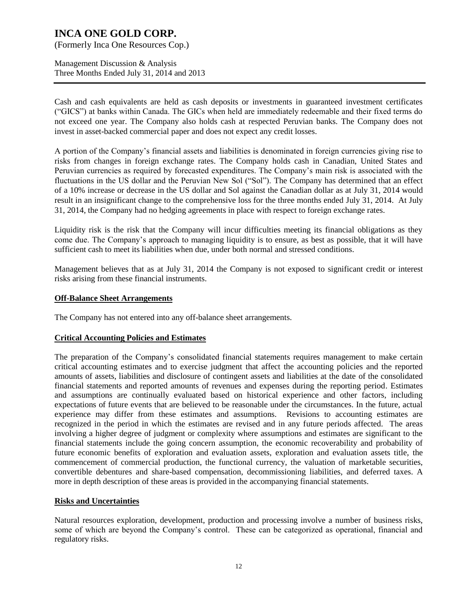(Formerly Inca One Resources Cop.)

Management Discussion & Analysis Three Months Ended July 31, 2014 and 2013

Cash and cash equivalents are held as cash deposits or investments in guaranteed investment certificates ("GICS") at banks within Canada. The GICs when held are immediately redeemable and their fixed terms do not exceed one year. The Company also holds cash at respected Peruvian banks. The Company does not invest in asset-backed commercial paper and does not expect any credit losses.

A portion of the Company's financial assets and liabilities is denominated in foreign currencies giving rise to risks from changes in foreign exchange rates. The Company holds cash in Canadian, United States and Peruvian currencies as required by forecasted expenditures. The Company's main risk is associated with the fluctuations in the US dollar and the Peruvian New Sol ("Sol"). The Company has determined that an effect of a 10% increase or decrease in the US dollar and Sol against the Canadian dollar as at July 31, 2014 would result in an insignificant change to the comprehensive loss for the three months ended July 31, 2014. At July 31, 2014, the Company had no hedging agreements in place with respect to foreign exchange rates.

Liquidity risk is the risk that the Company will incur difficulties meeting its financial obligations as they come due. The Company's approach to managing liquidity is to ensure, as best as possible, that it will have sufficient cash to meet its liabilities when due, under both normal and stressed conditions.

Management believes that as at July 31, 2014 the Company is not exposed to significant credit or interest risks arising from these financial instruments.

### **Off-Balance Sheet Arrangements**

The Company has not entered into any off-balance sheet arrangements.

### **Critical Accounting Policies and Estimates**

The preparation of the Company's consolidated financial statements requires management to make certain critical accounting estimates and to exercise judgment that affect the accounting policies and the reported amounts of assets, liabilities and disclosure of contingent assets and liabilities at the date of the consolidated financial statements and reported amounts of revenues and expenses during the reporting period. Estimates and assumptions are continually evaluated based on historical experience and other factors, including expectations of future events that are believed to be reasonable under the circumstances. In the future, actual experience may differ from these estimates and assumptions. Revisions to accounting estimates are recognized in the period in which the estimates are revised and in any future periods affected. The areas involving a higher degree of judgment or complexity where assumptions and estimates are significant to the financial statements include the going concern assumption, the economic recoverability and probability of future economic benefits of exploration and evaluation assets, exploration and evaluation assets title, the commencement of commercial production, the functional currency, the valuation of marketable securities, convertible debentures and share-based compensation, decommissioning liabilities, and deferred taxes. A more in depth description of these areas is provided in the accompanying financial statements.

### **Risks and Uncertainties**

Natural resources exploration, development, production and processing involve a number of business risks, some of which are beyond the Company's control. These can be categorized as operational, financial and regulatory risks.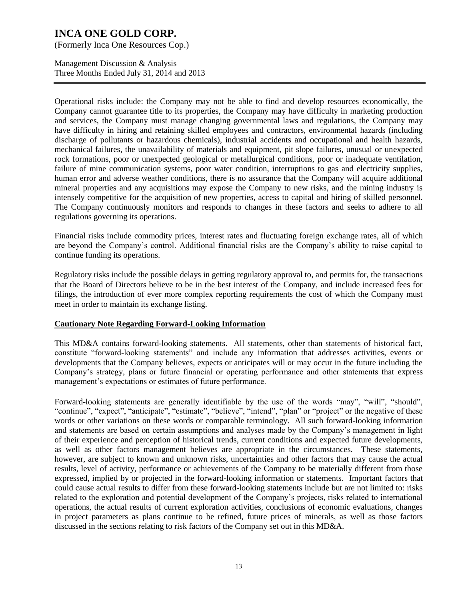(Formerly Inca One Resources Cop.)

Management Discussion & Analysis Three Months Ended July 31, 2014 and 2013

Operational risks include: the Company may not be able to find and develop resources economically, the Company cannot guarantee title to its properties, the Company may have difficulty in marketing production and services, the Company must manage changing governmental laws and regulations, the Company may have difficulty in hiring and retaining skilled employees and contractors, environmental hazards (including discharge of pollutants or hazardous chemicals), industrial accidents and occupational and health hazards, mechanical failures, the unavailability of materials and equipment, pit slope failures, unusual or unexpected rock formations, poor or unexpected geological or metallurgical conditions, poor or inadequate ventilation, failure of mine communication systems, poor water condition, interruptions to gas and electricity supplies, human error and adverse weather conditions, there is no assurance that the Company will acquire additional mineral properties and any acquisitions may expose the Company to new risks, and the mining industry is intensely competitive for the acquisition of new properties, access to capital and hiring of skilled personnel. The Company continuously monitors and responds to changes in these factors and seeks to adhere to all regulations governing its operations.

Financial risks include commodity prices, interest rates and fluctuating foreign exchange rates, all of which are beyond the Company's control. Additional financial risks are the Company's ability to raise capital to continue funding its operations.

Regulatory risks include the possible delays in getting regulatory approval to, and permits for, the transactions that the Board of Directors believe to be in the best interest of the Company, and include increased fees for filings, the introduction of ever more complex reporting requirements the cost of which the Company must meet in order to maintain its exchange listing.

### **Cautionary Note Regarding Forward-Looking Information**

This MD&A contains forward-looking statements. All statements, other than statements of historical fact, constitute "forward-looking statements" and include any information that addresses activities, events or developments that the Company believes, expects or anticipates will or may occur in the future including the Company's strategy, plans or future financial or operating performance and other statements that express management's expectations or estimates of future performance.

Forward-looking statements are generally identifiable by the use of the words "may", "will", "should", "continue", "expect", "anticipate", "estimate", "believe", "intend", "plan" or "project" or the negative of these words or other variations on these words or comparable terminology. All such forward-looking information and statements are based on certain assumptions and analyses made by the Company's management in light of their experience and perception of historical trends, current conditions and expected future developments, as well as other factors management believes are appropriate in the circumstances. These statements, however, are subject to known and unknown risks, uncertainties and other factors that may cause the actual results, level of activity, performance or achievements of the Company to be materially different from those expressed, implied by or projected in the forward-looking information or statements. Important factors that could cause actual results to differ from these forward-looking statements include but are not limited to: risks related to the exploration and potential development of the Company's projects, risks related to international operations, the actual results of current exploration activities, conclusions of economic evaluations, changes in project parameters as plans continue to be refined, future prices of minerals, as well as those factors discussed in the sections relating to risk factors of the Company set out in this MD&A.